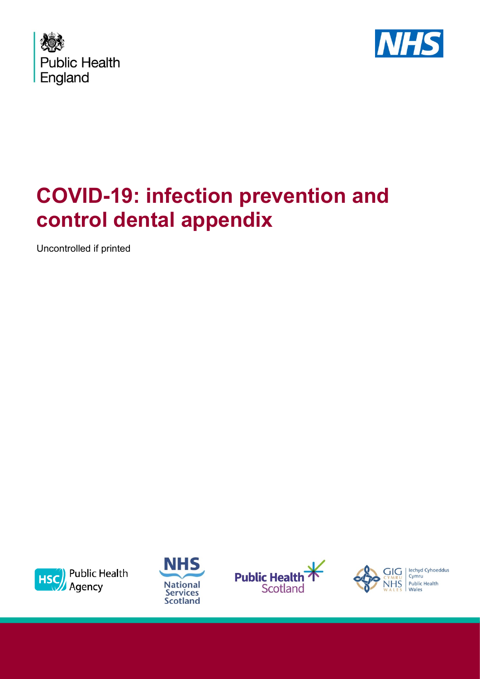



## **COVID-19: infection prevention and control dental appendix**

Uncontrolled if printed









lechyd Cyhoeddus Cymru Public Health Wales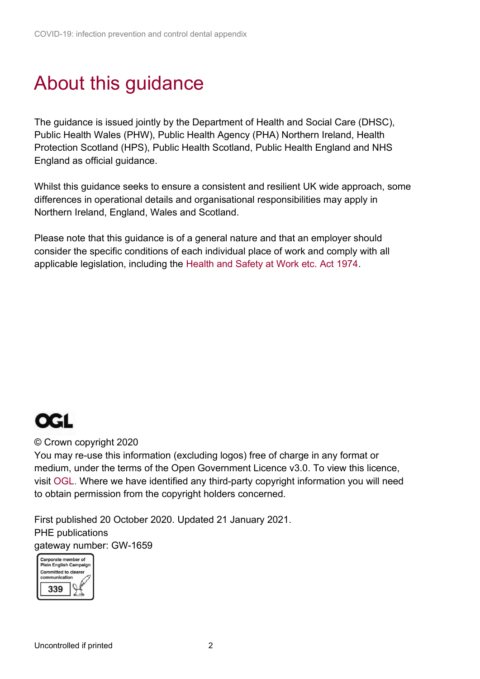### About this guidance

 The guidance is issued jointly by the Department of Health and Social Care (DHSC), Public Health Wales (PHW), Public Health Agency (PHA) Northern Ireland, Health Protection Scotland (HPS), Public Health Scotland, Public Health England and NHS England as official guidance.

Whilst this guidance seeks to ensure a consistent and resilient UK wide approach, some differences in operational details and organisational responsibilities may apply in Northern Ireland, England, Wales and Scotland.

Please note that this guidance is of a general nature and that an employer should consider the specific conditions of each individual place of work and comply with all applicable legislation, including the [Health and Safety at Work etc. Act 1974.](http://www.legislation.gov.uk/ukpga/1974/37/contents) 



#### © Crown copyright 2020

You may re-use this information (excluding logos) free of charge in any format or medium, under the terms of the Open Government Licence v3.0. To view this licence, visit [OGL.](https://www.nationalarchives.gov.uk/doc/open-government-licence/version/3/) Where we have identified any third-party copyright information you will need to obtain permission from the copyright holders concerned.

First published 20 October 2020. Updated 21 January 2021. PHE publications gateway number: GW-1659

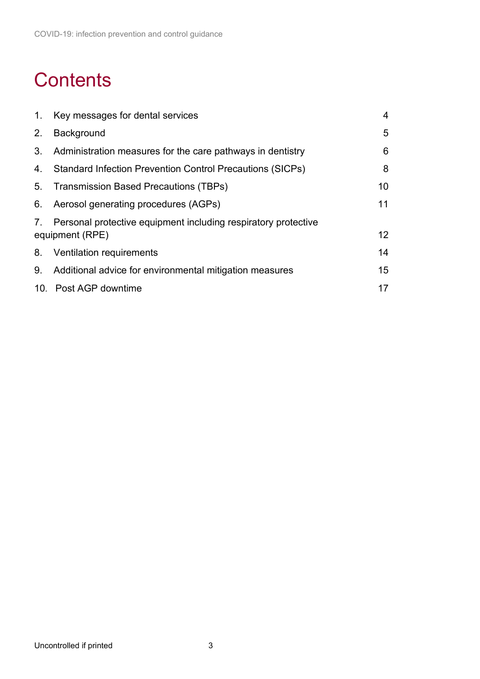### **Contents**

|    | 1. Key messages for dental services                                                  | 4                |
|----|--------------------------------------------------------------------------------------|------------------|
| 2. | Background                                                                           | 5                |
| 3. | Administration measures for the care pathways in dentistry                           | 6                |
| 4. | <b>Standard Infection Prevention Control Precautions (SICPs)</b>                     | 8                |
|    | 5. Transmission Based Precautions (TBPs)                                             | 10 <sup>°</sup>  |
|    | 6. Aerosol generating procedures (AGPs)                                              | 11               |
|    | 7. Personal protective equipment including respiratory protective<br>equipment (RPE) | 12 <sup>2</sup>  |
|    | 8. Ventilation requirements                                                          | 14               |
| 9. | Additional advice for environmental mitigation measures                              | 15 <sub>15</sub> |
|    | 10. Post AGP downtime                                                                | 17               |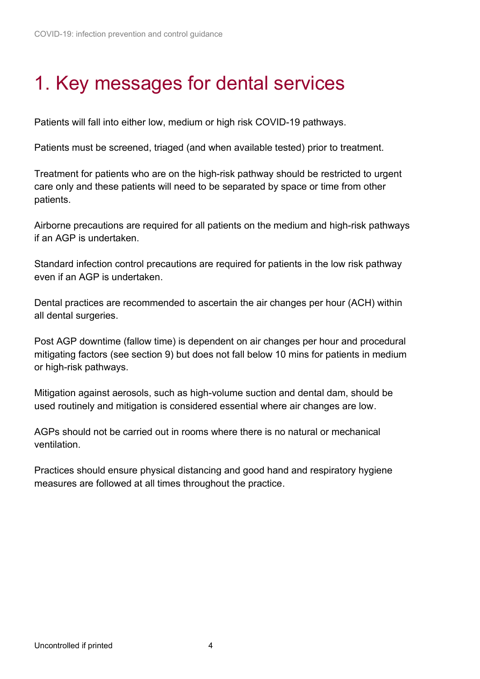### <span id="page-3-0"></span>1. Key messages for dental services

Patients will fall into either low, medium or high risk COVID-19 pathways.

Patients must be screened, triaged (and when available tested) prior to treatment.

 Treatment for patients who are on the high-risk pathway should be restricted to urgent care only and these patients will need to be separated by space or time from other patients.

 Airborne precautions are required for all patients on the medium and high-risk pathways if an AGP is undertaken.

Standard infection control precautions are required for patients in the low risk pathway even if an AGP is undertaken.

Dental practices are recommended to ascertain the air changes per hour (ACH) within all dental surgeries.

 mitigating factors (see section 9) but does not fall below 10 mins for patients in medium Post AGP downtime (fallow time) is dependent on air changes per hour and procedural or high-risk pathways.

Mitigation against aerosols, such as high-volume suction and dental dam, should be used routinely and mitigation is considered essential where air changes are low.

AGPs should not be carried out in rooms where there is no natural or mechanical ventilation.

Practices should ensure physical distancing and good hand and respiratory hygiene measures are followed at all times throughout the practice.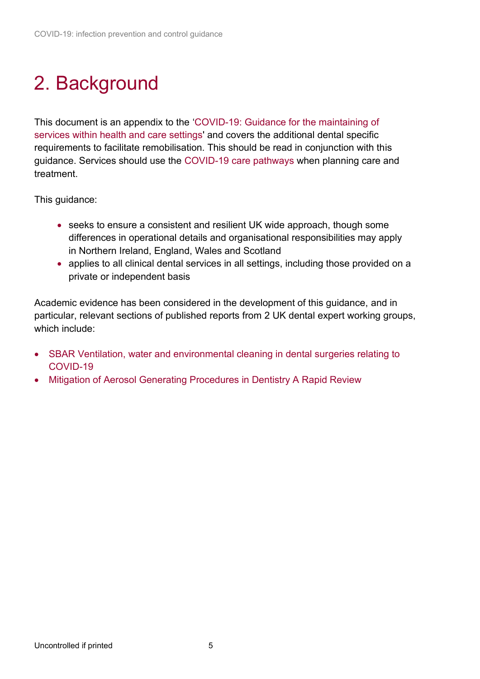# <span id="page-4-0"></span>2. Background

This document is an appendix to the '[COVID-19: Guidance for the maintaining of](https://www.gov.uk/government/publications/wuhan-novel-coronavirus-infection-prevention-and-control)  [services within health and care settings'](https://www.gov.uk/government/publications/wuhan-novel-coronavirus-infection-prevention-and-control) and covers the additional dental specific requirements to facilitate remobilisation. This should be read in conjunction with this guidance. Services should use the [COVID-19 care pathways](https://www.gov.uk/government/publications/wuhan-novel-coronavirus-infection-prevention-and-control/care-pathways) when planning care and treatment.

This guidance:

- seeks to ensure a consistent and resilient UK wide approach, though some differences in operational details and organisational responsibilities may apply in Northern Ireland, England, Wales and Scotland
- • applies to all clinical dental services in all settings, including those provided on a private or independent basis

Academic evidence has been considered in the development of this guidance, and in particular, relevant sections of published reports from 2 UK dental expert working groups, which include:

- [SBAR Ventilation, water and environmental cleaning in dental surgeries relating to](https://www.scottishdental.org/wp-content/uploads/2020/08/Ventillation-Final-Copy-1.pdf)  [COVID-19](https://www.scottishdental.org/wp-content/uploads/2020/08/Ventillation-Final-Copy-1.pdf)
- <span id="page-4-1"></span>• [Mitigation of Aerosol Generating Procedures in Dentistry A Rapid Review](https://www.sdcep.org.uk/published-guidance/covid-19-practice-recovery/rapid-review-of-agps/)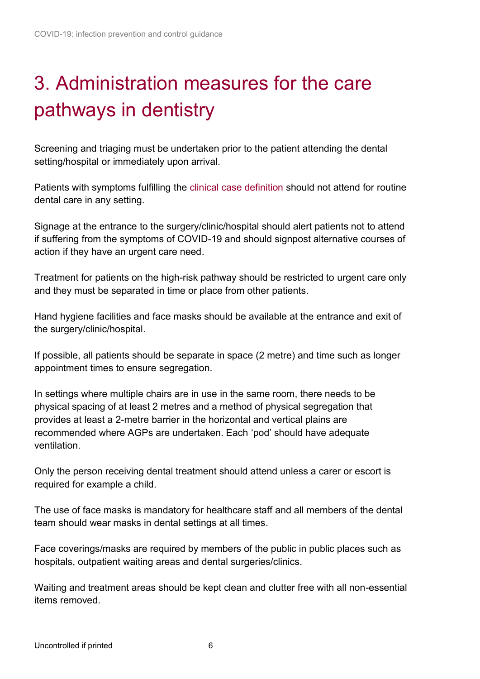# 3. Administration measures for the care pathways in dentistry

Screening and triaging must be undertaken prior to the patient attending the dental setting/hospital or immediately upon arrival.

Patients with symptoms fulfilling the [clinical case definition](https://www.gov.uk/government/publications/wuhan-novel-coronavirus-initial-investigation-of-possible-cases/investigation-and-initial-clinical-management-of-possible-cases-of-wuhan-novel-coronavirus-wn-cov-infection) should not attend for routine dental care in any setting.

Signage at the entrance to the surgery/clinic/hospital should alert patients not to attend if suffering from the symptoms of COVID-19 and should signpost alternative courses of action if they have an urgent care need.

 and they must be separated in time or place from other patients. Treatment for patients on the high-risk pathway should be restricted to urgent care only

Hand hygiene facilities and face masks should be available at the entrance and exit of the surgery/clinic/hospital.

If possible, all patients should be separate in space (2 metre) and time such as longer appointment times to ensure segregation.

 recommended where AGPs are undertaken. Each 'pod' should have adequate In settings where multiple chairs are in use in the same room, there needs to be physical spacing of at least 2 metres and a method of physical segregation that provides at least a 2-metre barrier in the horizontal and vertical plains are ventilation.

Only the person receiving dental treatment should attend unless a carer or escort is required for example a child.

The use of face masks is mandatory for healthcare staff and all members of the dental team should wear masks in dental settings at all times.

Face coverings/masks are required by members of the public in public places such as hospitals, outpatient waiting areas and dental surgeries/clinics.

Waiting and treatment areas should be kept clean and clutter free with all non-essential items removed.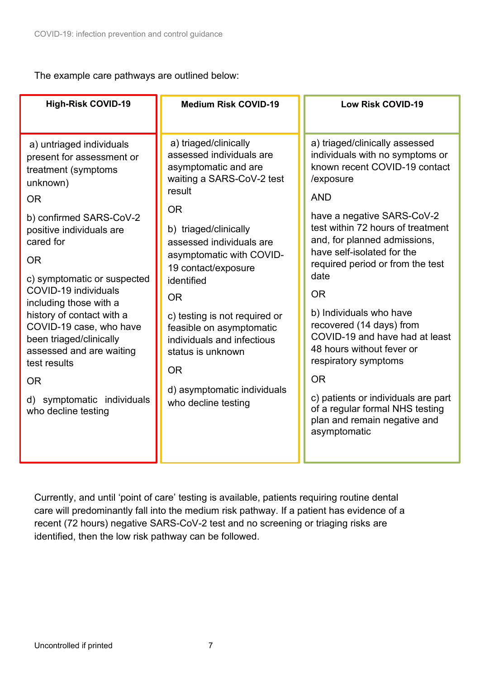The example care pathways are outlined below:

| <b>High-Risk COVID-19</b>                                                                                                                                                                                                                                                                                                                                                                                                                                                   | <b>Medium Risk COVID-19</b>                                                                                                                                                                                                                                                                                                                                                                                                                         | <b>Low Risk COVID-19</b>                                                                                                                                                                                                                                                                                                                                                                                                                                                                                                                                                                                     |
|-----------------------------------------------------------------------------------------------------------------------------------------------------------------------------------------------------------------------------------------------------------------------------------------------------------------------------------------------------------------------------------------------------------------------------------------------------------------------------|-----------------------------------------------------------------------------------------------------------------------------------------------------------------------------------------------------------------------------------------------------------------------------------------------------------------------------------------------------------------------------------------------------------------------------------------------------|--------------------------------------------------------------------------------------------------------------------------------------------------------------------------------------------------------------------------------------------------------------------------------------------------------------------------------------------------------------------------------------------------------------------------------------------------------------------------------------------------------------------------------------------------------------------------------------------------------------|
| a) untriaged individuals<br>present for assessment or<br>treatment (symptoms<br>unknown)<br><b>OR</b><br>b) confirmed SARS-CoV-2<br>positive individuals are<br>cared for<br><b>OR</b><br>c) symptomatic or suspected<br>COVID-19 individuals<br>including those with a<br>history of contact with a<br>COVID-19 case, who have<br>been triaged/clinically<br>assessed and are waiting<br>test results<br><b>OR</b><br>symptomatic individuals<br>d)<br>who decline testing | a) triaged/clinically<br>assessed individuals are<br>asymptomatic and are<br>waiting a SARS-CoV-2 test<br>result<br><b>OR</b><br>b) triaged/clinically<br>assessed individuals are<br>asymptomatic with COVID-<br>19 contact/exposure<br>identified<br><b>OR</b><br>c) testing is not required or<br>feasible on asymptomatic<br>individuals and infectious<br>status is unknown<br><b>OR</b><br>d) asymptomatic individuals<br>who decline testing | a) triaged/clinically assessed<br>individuals with no symptoms or<br>known recent COVID-19 contact<br>/exposure<br><b>AND</b><br>have a negative SARS-CoV-2<br>test within 72 hours of treatment<br>and, for planned admissions,<br>have self-isolated for the<br>required period or from the test<br>date<br><b>OR</b><br>b) Individuals who have<br>recovered (14 days) from<br>COVID-19 and have had at least<br>48 hours without fever or<br>respiratory symptoms<br><b>OR</b><br>c) patients or individuals are part<br>of a regular formal NHS testing<br>plan and remain negative and<br>asymptomatic |

 recent (72 hours) negative SARS-CoV-2 test and no screening or triaging risks are identified, then the low risk pathway can be followed. Currently, and until 'point of care' testing is available, patients requiring routine dental care will predominantly fall into the medium risk pathway. If a patient has evidence of a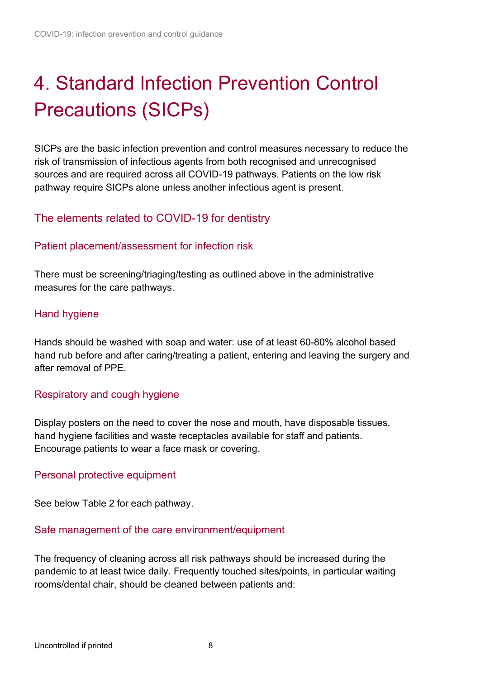# <span id="page-7-0"></span>4. Standard Infection Prevention Control Precautions (SICPs)

SICPs are the basic infection prevention and control measures necessary to reduce the risk of transmission of infectious agents from both recognised and unrecognised sources and are required across all COVID-19 pathways. Patients on the low risk pathway require SICPs alone unless another infectious agent is present.

### The elements related to COVID-19 for dentistry

#### Patient placement/assessment for infection risk

There must be screening/triaging/testing as outlined above in the administrative measures for the care pathways.

#### Hand hygiene

 [hand rub](https://assets.publishing.service.gov.uk/government/uploads/system/uploads/attachment_data/file/886216/Best_practice_hand_rub.pdf) before and after caring/treating a patient, entering and leaving the surgery and [Hands should be washed](https://assets.publishing.service.gov.uk/government/uploads/system/uploads/attachment_data/file/886217/Best_practice_hand_wash.pdf) with soap and water: use of at least 60-80% alcohol based after removal of PPE.

#### Respiratory and cough hygiene

 hand hygiene facilities and waste receptacles available for staff and patients. Encourage patients to wear a face mask or covering. Display posters on the need to cover the nose and mouth, have disposable tissues,

#### Personal protective equipment

See below Table 2 for each pathway.

#### Safe management of the care environment/equipment

The frequency of cleaning across all risk pathways should be increased during the pandemic to at least twice daily. Frequently touched sites/points, in particular waiting rooms/dental chair, should be cleaned between patients and: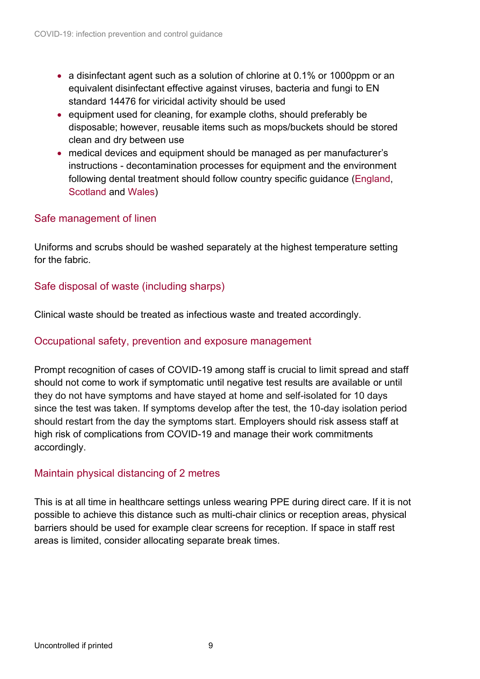- • a disinfectant agent such as a solution of chlorine at 0.1% or 1000ppm or an equivalent disinfectant effective against viruses, bacteria and fungi to EN standard 14476 for viricidal activity should be used
- clean and dry between use • equipment used for cleaning, for example cloths, should preferably be disposable; however, reusable items such as mops/buckets should be stored
- • medical devices and equipment should be managed as per manufacturer's instructions - decontamination processes for equipment and the environment following dental treatment should follow country specific guidance [\(England,](https://www.gov.uk/government/publications/decontamination-in-primary-care-dental-practices) [Scotland](https://www.sdcep.org.uk/decontamination-into-practice-guidance-series/) and [Wales\)](http://www.wales.nhs.uk/sites3/Documents/254/WHTM%2001-05%20Revision%201.pdf)

#### Safe management of linen

Uniforms and scrubs should be washed separately at the highest temperature setting for the fabric.

#### Safe disposal of waste (including sharps)

Clinical waste should be treated as infectious waste and treated accordingly.

#### Occupational safety, prevention and exposure management

 since the test was taken. If symptoms develop after the test, the 10-day isolation period Prompt recognition of cases of COVID-19 among staff is crucial to limit spread and staff should not come to work if symptomatic until negative test results are available or until they do not have symptoms and have stayed at home and self-isolated for 10 days should restart from the day the symptoms start. Employers should risk assess staff at high risk of complications from COVID-19 and manage their work commitments accordingly.

#### Maintain physical distancing of 2 metres

 This is at all time in healthcare settings unless wearing PPE during direct care. If it is not possible to achieve this distance such as multi-chair clinics or reception areas, physical barriers should be used for example clear screens for reception. If space in staff rest areas is limited, consider allocating separate break times.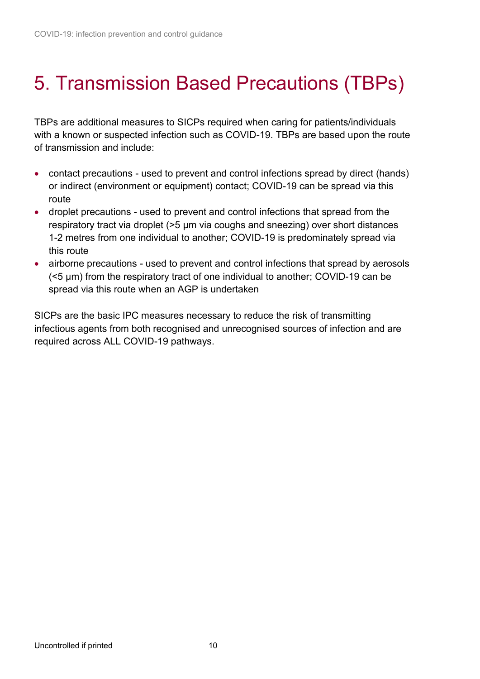## <span id="page-9-0"></span>5. Transmission Based Precautions (TBPs)

TBPs are additional measures to SICPs required when caring for patients/individuals with a known or suspected infection such as COVID-19. TBPs are based upon the route of transmission and include:

- contact precautions used to prevent and control infections spread by direct (hands) or indirect (environment or equipment) contact; COVID-19 can be spread via this route
- droplet precautions used to prevent and control infections that spread from the respiratory tract via droplet (>5 μm via coughs and sneezing) over short distances 1-2 metres from one individual to another; COVID-19 is predominately spread via this route
- airborne precautions used to prevent and control infections that spread by aerosols spread via this route when an AGP is undertaken (<5 μm) from the respiratory tract of one individual to another; COVID-19 can be

 required across ALL COVID-19 pathways. SICPs are the basic IPC measures necessary to reduce the risk of transmitting infectious agents from both recognised and unrecognised sources of infection and are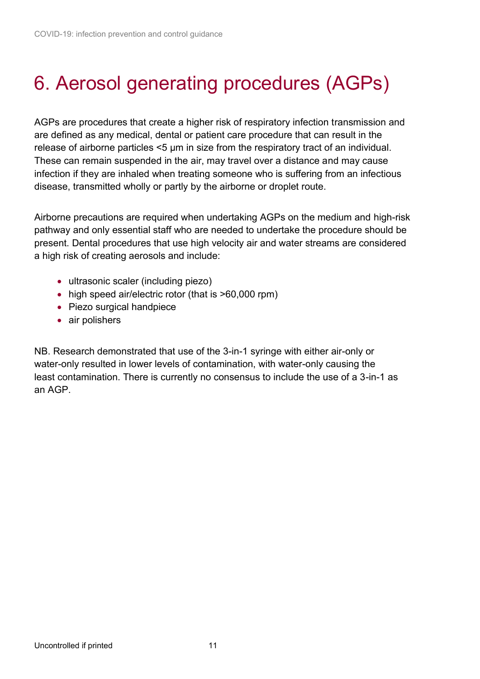# <span id="page-10-0"></span>6. Aerosol generating procedures (AGPs)

 release of airborne particles <5 μm in size from the respiratory tract of an individual. These can remain suspended in the air, may travel over a distance and may cause disease, transmitted wholly or partly by the airborne or droplet route. AGPs are procedures that create a higher risk of respiratory infection transmission and are defined as any medical, dental or patient care procedure that can result in the infection if they are inhaled when treating someone who is suffering from an infectious

 pathway and only essential staff who are needed to undertake the procedure should be Airborne precautions are required when undertaking AGPs on the medium and high-risk present. Dental procedures that use high velocity air and water streams are considered a high risk of creating aerosols and include:

- ultrasonic scaler (including piezo)
- high speed air/electric rotor (that is >60,000 rpm)
- Piezo surgical handpiece
- air polishers

 least contamination. There is currently no consensus to include the use of a 3-in-1 as NB. Research demonstrated that use of the 3-in-1 syringe with either air-only or water-only resulted in lower levels of contamination, with water-only causing the an AGP.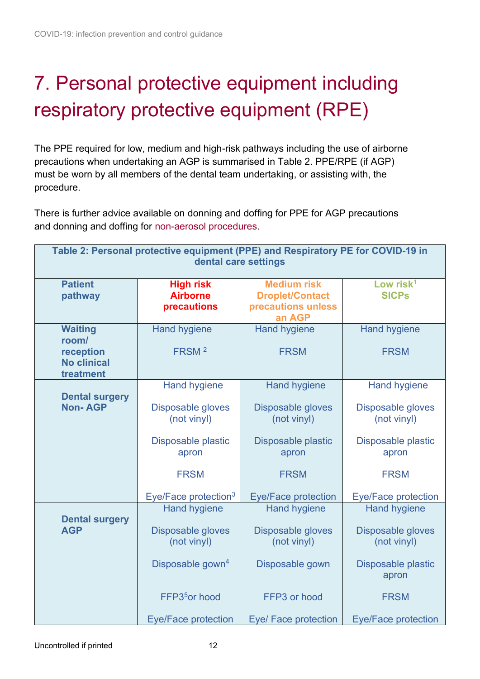# <span id="page-11-0"></span>7. Personal protective equipment including respiratory protective equipment (RPE)

 The PPE required for low, medium and high-risk pathways including the use of airborne precautions when undertaking an AGP is summarised in Table 2. PPE/RPE (if AGP) must be worn by all members of the dental team undertaking, or assisting with, the procedure.

There is further advice available on [donning](https://assets.publishing.service.gov.uk/government/uploads/system/uploads/attachment_data/file/911332/PHE_COVID-19_Donning_Airborne_Precautions_quick_guide_gown_version.pdf) and [doffing](https://assets.publishing.service.gov.uk/government/uploads/system/uploads/attachment_data/file/911304/PHE_COVID-19_Doffing_Airborne_Precautions_quick_guide_gown_version.pdf) for PPE for AGP precautions and donning and doffing for [non-aerosol procedures.](https://www.gov.uk/government/publications/covid-19-personal-protective-equipment-use-for-non-aerosol-generating-procedures)

| Table 2: Personal protective equipment (PPE) and Respiratory PE for COVID-19 in<br>dental care settings |                                                                                                                                           |                                                                                                                                     |                                                                                                                                     |  |  |  |
|---------------------------------------------------------------------------------------------------------|-------------------------------------------------------------------------------------------------------------------------------------------|-------------------------------------------------------------------------------------------------------------------------------------|-------------------------------------------------------------------------------------------------------------------------------------|--|--|--|
| <b>Patient</b><br>pathway                                                                               | <b>High risk</b><br><b>Airborne</b><br>precautions                                                                                        | <b>Medium risk</b><br><b>Droplet/Contact</b><br>precautions unless<br>an AGP                                                        | Low risk $1$<br><b>SICPs</b>                                                                                                        |  |  |  |
| <b>Waiting</b><br>room/<br>reception<br><b>No clinical</b><br>treatment                                 | <b>Hand hygiene</b><br>FRSM <sup>2</sup>                                                                                                  | <b>Hand hygiene</b><br><b>FRSM</b>                                                                                                  | <b>Hand hygiene</b><br><b>FRSM</b>                                                                                                  |  |  |  |
| <b>Dental surgery</b><br><b>Non-AGP</b>                                                                 | <b>Hand hygiene</b><br>Disposable gloves<br>(not vinyl)<br>Disposable plastic<br>apron<br><b>FRSM</b><br>Eye/Face protection <sup>3</sup> | <b>Hand hygiene</b><br>Disposable gloves<br>(not vinyl)<br>Disposable plastic<br>apron<br><b>FRSM</b><br><b>Eye/Face protection</b> | <b>Hand hygiene</b><br>Disposable gloves<br>(not vinyl)<br>Disposable plastic<br>apron<br><b>FRSM</b><br><b>Eye/Face protection</b> |  |  |  |
| <b>Dental surgery</b><br><b>AGP</b>                                                                     | <b>Hand hygiene</b><br>Disposable gloves<br>(not vinyl)<br>Disposable gown <sup>4</sup><br>FFP3 <sup>5</sup> or hood                      | <b>Hand hygiene</b><br>Disposable gloves<br>(not vinyl)<br>Disposable gown<br>FFP3 or hood                                          | <b>Hand hygiene</b><br>Disposable gloves<br>(not vinyl)<br>Disposable plastic<br>apron<br><b>FRSM</b>                               |  |  |  |
|                                                                                                         | <b>Eye/Face protection</b>                                                                                                                | Eye/ Face protection                                                                                                                | <b>Eye/Face protection</b>                                                                                                          |  |  |  |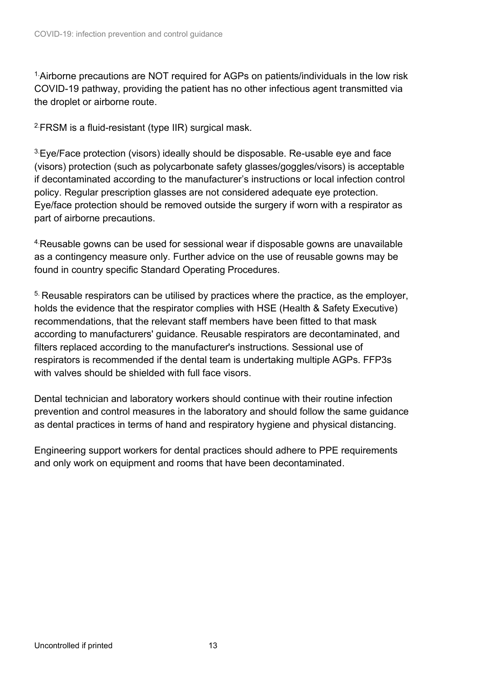COVID-19 pathway, providing the patient has no other infectious agent transmitted via <sup>1</sup> Airborne precautions are NOT required for AGPs on patients/individuals in the low risk the droplet or airborne route.

<sup>2</sup> [FRSM](#page-18-0) is a fluid-resistant (type IIR) surgical mask.

<sup>3</sup> Eye/Face protection (visors) ideally should be disposable. Re-usable eye and face (visors) protection (such as polycarbonate safety glasses/goggles/visors) is acceptable if decontaminated according to the manufacturer's instructions or local infection control policy. Regular prescription glasses are not considered adequate eye protection. Eye/face protection should be removed outside the surgery if worn with a respirator as part of airborne precautions.

<sup>4.</sup> Reusable gowns can be used for sessional wear if disposable gowns are unavailable as a contingency measure only. Further advice on the use of reusable gowns may be found in country specific Standard Operating Procedures.

<sup>5.</sup> Reusable respirators can be utilised by practices where the practice, as the employer, holds the evidence that the respirator complies with HSE (Health & Safety Executive) recommendations, that the relevant staff members have been fitted to that mask according to manufacturers' guidance. Reusable respirators are decontaminated, and filters replaced according to the manufacturer's instructions. Sessional use of respirators is recommended if the dental team is undertaking multiple AGPs. FFP3s with valves should be shielded with full face visors.

 as dental practices in terms of hand and respiratory hygiene and physical distancing. Dental technician and laboratory workers should continue with their routine infection prevention and control measures in the laboratory and should follow the same guidance

Engineering support workers for dental practices should adhere to PPE requirements and only work on equipment and rooms that have been decontaminated.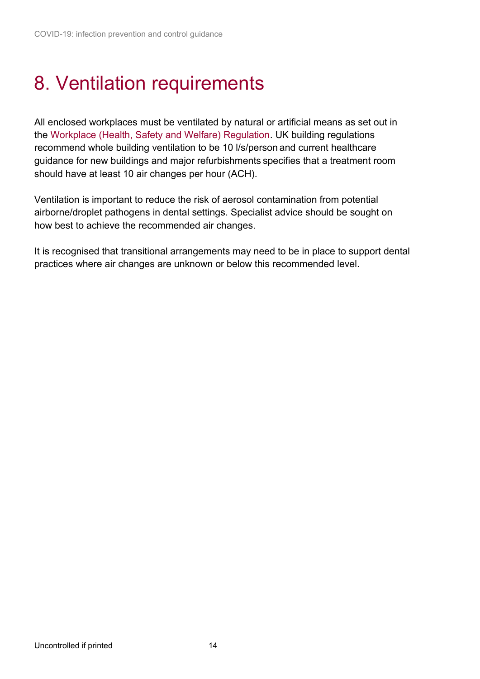## <span id="page-13-0"></span>8. Ventilation requirements

All enclosed workplaces must be ventilated by natural or artificial means as set out in the [Workplace \(Health, Safety and Welfare\) Regulation.](https://www.hse.gov.uk/pubns/priced/l24.pdf) UK building regulations recommend whole building ventilation to be 10 l/s/person and current healthcare guidance for new buildings and major refurbishments specifies that a treatment room should have at least 10 air changes per hour (ACH).

 Ventilation is important to reduce the risk of aerosol contamination from potential airborne/droplet pathogens in dental settings. Specialist advice should be sought on how best to achieve the recommended air changes.

It is recognised that transitional arrangements may need to be in place to support dental practices where air changes are unknown or below this recommended level.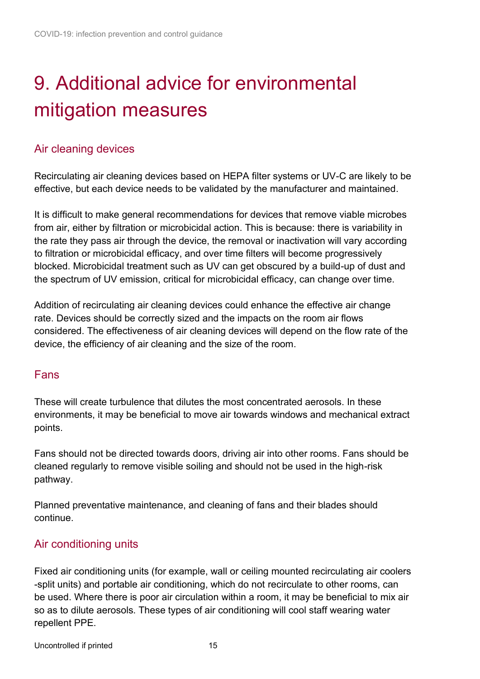# <span id="page-14-0"></span>9. Additional advice for environmental mitigation measures

### Air cleaning devices

 Recirculating air cleaning devices based on HEPA filter systems or UV-C are likely to be effective, but each device needs to be validated by the manufacturer and maintained.

 the rate they pass air through the device, the removal or inactivation will vary according It is difficult to make general recommendations for devices that remove viable microbes from air, either by filtration or microbicidal action. This is because: there is variability in to filtration or microbicidal efficacy, and over time filters will become progressively blocked. Microbicidal treatment such as UV can get obscured by a build-up of dust and the spectrum of UV emission, critical for microbicidal efficacy, can change over time.

Addition of recirculating air cleaning devices could enhance the effective air change rate. Devices should be correctly sized and the impacts on the room air flows considered. The effectiveness of air cleaning devices will depend on the flow rate of the device, the efficiency of air cleaning and the size of the room.

#### Fans

These will create turbulence that dilutes the most concentrated aerosols. In these environments, it may be beneficial to move air towards windows and mechanical extract points.

Fans should not be directed towards doors, driving air into other rooms. Fans should be cleaned regularly to remove visible soiling and should not be used in the high-risk pathway.

 Planned preventative maintenance, and cleaning of fans and their blades should continue.

#### Air conditioning units

 be used. Where there is poor air circulation within a room, it may be beneficial to mix air Fixed air conditioning units (for example, wall or ceiling mounted recirculating air coolers -split units) and portable air conditioning, which do not recirculate to other rooms, can so as to dilute aerosols. These types of air conditioning will cool staff wearing water repellent PPE.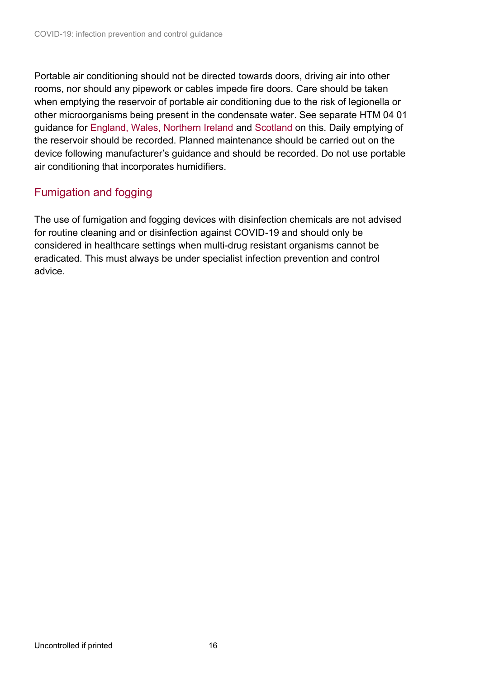Portable air conditioning should not be directed towards doors, driving air into other rooms, nor should any pipework or cables impede fire doors. Care should be taken when emptying the reservoir of portable air conditioning due to the risk of legionella or other microorganisms being present in the condensate water. See separate HTM 04 01 guidance for [England, Wales, Northern Ireland](https://www.gov.uk/government/publications/hot-and-cold-water-supply-storage-and-distribution-systems-for-healthcare-premises) and [Scotland](https://www.nss.nhs.scot/publications/water-safety-for-healthcare-premises/) on this. Daily emptying of the reservoir should be recorded. Planned maintenance should be carried out on the device following manufacturer's guidance and should be recorded. Do not use portable air conditioning that incorporates humidifiers.

### Fumigation and fogging

 The use of fumigation and fogging devices with disinfection chemicals are not advised for routine cleaning and or disinfection against COVID-19 and should only be considered in healthcare settings when multi-drug resistant organisms cannot be eradicated. This must always be under specialist infection prevention and control advice.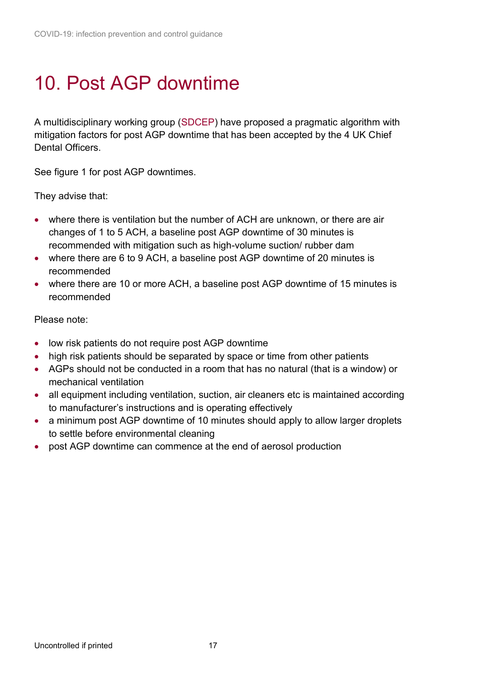## <span id="page-16-0"></span>10. Post AGP downtime

 mitigation factors for post AGP downtime that has been accepted by the 4 UK Chief A multidisciplinary working group [\(SDCEP\)](https://www.sdcep.org.uk/published-guidance/covid-19-practice-recovery/rapid-review-of-agps/) have proposed a pragmatic algorithm with Dental Officers.

See figure 1 for post AGP downtimes.

They advise that:

- changes of 1 to 5 ACH, a baseline post AGP downtime of 30 minutes is • where there is ventilation but the number of ACH are unknown, or there are air recommended with mitigation such as high-volume suction/ rubber dam
- • where there are 6 to 9 ACH, a baseline post AGP downtime of 20 minutes is recommended
- • where there are 10 or more ACH, a baseline post AGP downtime of 15 minutes is recommended

Please note:

- low risk patients do not require post AGP downtime
- high risk patients should be separated by space or time from other patients
- AGPs should not be conducted in a room that has no natural (that is a window) or mechanical ventilation
- all equipment including ventilation, suction, air cleaners etc is maintained according to manufacturer's instructions and is operating effectively
- a minimum post AGP downtime of 10 minutes should apply to allow larger droplets to settle before environmental cleaning
- post AGP downtime can commence at the end of aerosol production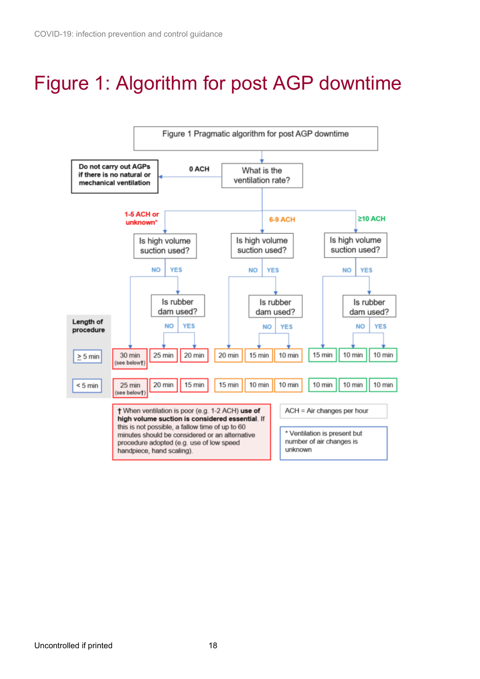## Figure 1: Algorithm for post AGP downtime